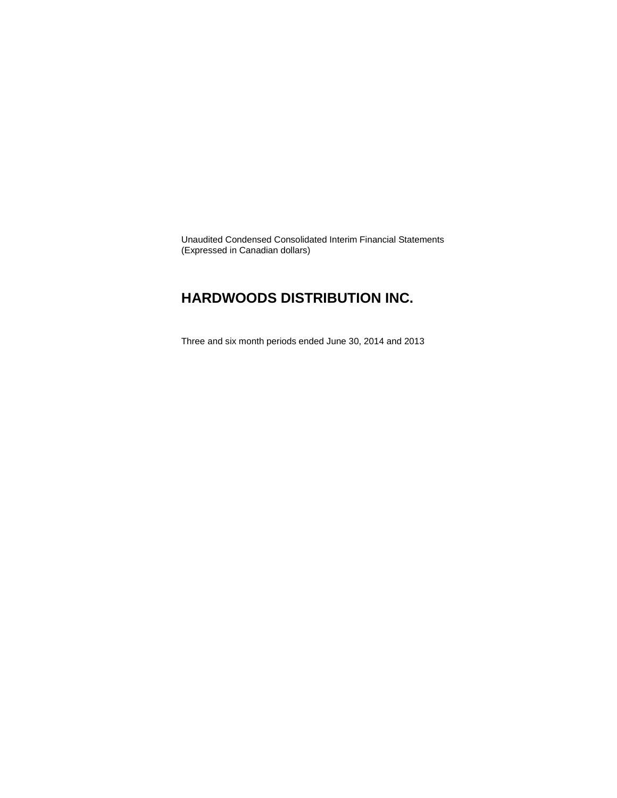Unaudited Condensed Consolidated Interim Financial Statements (Expressed in Canadian dollars)

### **HARDWOODS DISTRIBUTION INC.**

Three and six month periods ended June 30, 2014 and 2013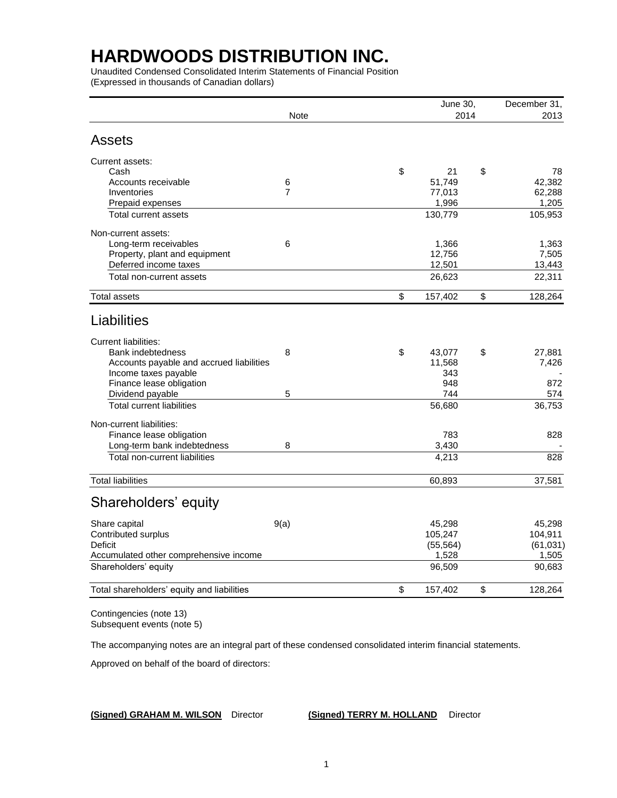Unaudited Condensed Consolidated Interim Statements of Financial Position (Expressed in thousands of Canadian dollars)

|                                            |                | June 30,      | December 31,  |
|--------------------------------------------|----------------|---------------|---------------|
|                                            | Note           | 2014          | 2013          |
| <b>Assets</b>                              |                |               |               |
| Current assets:                            |                |               |               |
| Cash                                       |                | \$<br>21      | \$<br>78      |
| Accounts receivable                        | $\,6$          | 51,749        | 42,382        |
| Inventories                                | $\overline{7}$ | 77,013        | 62,288        |
| Prepaid expenses                           |                | 1,996         | 1,205         |
| Total current assets                       |                | 130,779       | 105,953       |
| Non-current assets:                        |                |               |               |
| Long-term receivables                      | 6              | 1,366         | 1,363         |
| Property, plant and equipment              |                | 12,756        | 7,505         |
| Deferred income taxes                      |                | 12,501        | 13,443        |
| Total non-current assets                   |                | 26,623        | 22,311        |
| <b>Total assets</b>                        |                | \$<br>157,402 | \$<br>128,264 |
| Liabilities                                |                |               |               |
| <b>Current liabilities:</b>                |                |               |               |
| <b>Bank indebtedness</b>                   | 8              | \$<br>43,077  | \$<br>27,881  |
| Accounts payable and accrued liabilities   |                | 11,568        | 7,426         |
| Income taxes payable                       |                | 343           |               |
| Finance lease obligation                   |                | 948           | 872           |
| Dividend payable                           | 5              | 744           | 574           |
| <b>Total current liabilities</b>           |                | 56,680        | 36,753        |
| Non-current liabilities:                   |                |               |               |
| Finance lease obligation                   |                | 783           | 828           |
| Long-term bank indebtedness                | 8              | 3,430         |               |
| Total non-current liabilities              |                | 4,213         | 828           |
| <b>Total liabilities</b>                   |                | 60,893        | 37,581        |
| Shareholders' equity                       |                |               |               |
| Share capital                              | 9(a)           | 45,298        | 45,298        |
| Contributed surplus                        |                | 105,247       | 104,911       |
| <b>Deficit</b>                             |                | (55, 564)     | (61, 031)     |
| Accumulated other comprehensive income     |                | 1,528         | 1,505         |
| Shareholders' equity                       |                | 96,509        | 90,683        |
| Total shareholders' equity and liabilities |                | \$<br>157,402 | \$<br>128,264 |
|                                            |                |               |               |

Contingencies (note 13) Subsequent events (note 5)

The accompanying notes are an integral part of these condensed consolidated interim financial statements.

Approved on behalf of the board of directors:

**(Signed) GRAHAM M. WILSON** Director **(Signed) TERRY M. HOLLAND** Director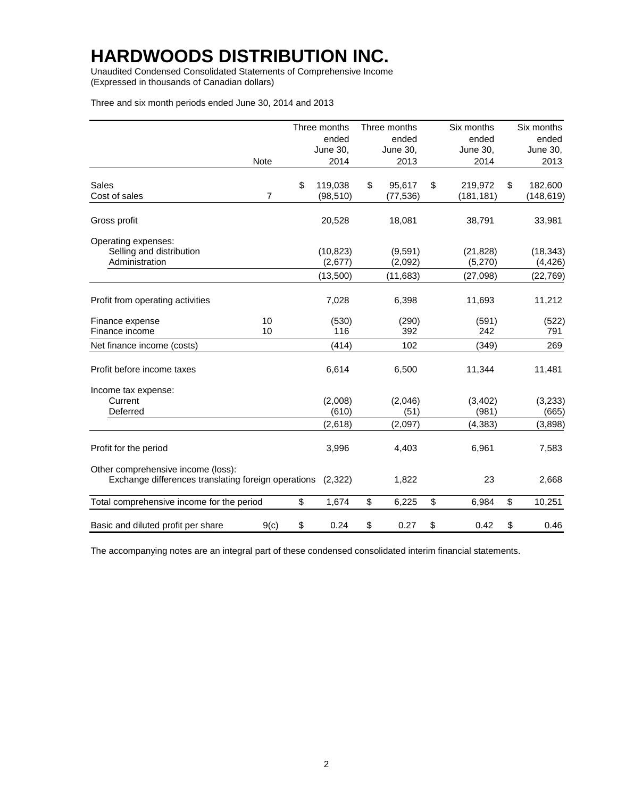Unaudited Condensed Consolidated Statements of Comprehensive Income (Expressed in thousands of Canadian dollars)

Three and six month periods ended June 30, 2014 and 2013

|                                                                                                   |                | Three months         | Three months       | Six months           | Six months            |
|---------------------------------------------------------------------------------------------------|----------------|----------------------|--------------------|----------------------|-----------------------|
|                                                                                                   |                | ended                | ended              | ended                | ended                 |
|                                                                                                   |                | June 30,             | June 30,           | June 30,             | June 30,              |
|                                                                                                   | <b>Note</b>    | 2014                 | 2013               | 2014                 | 2013                  |
| Sales                                                                                             |                | \$<br>119,038        | \$<br>95,617       | \$<br>219,972        | \$<br>182,600         |
| Cost of sales                                                                                     | $\overline{7}$ | (98, 510)            | (77, 536)          | (181, 181)           | (148, 619)            |
| Gross profit                                                                                      |                | 20,528               | 18,081             | 38,791               | 33,981                |
| Operating expenses:                                                                               |                |                      |                    |                      |                       |
| Selling and distribution<br>Administration                                                        |                | (10, 823)<br>(2,677) | (9,591)<br>(2,092) | (21, 828)<br>(5,270) | (18, 343)<br>(4, 426) |
|                                                                                                   |                | (13,500)             | (11, 683)          | (27,098)             | (22, 769)             |
| Profit from operating activities                                                                  |                | 7,028                | 6,398              | 11,693               | 11,212                |
| Finance expense                                                                                   | 10             | (530)                | (290)              | (591)                | (522)                 |
| Finance income                                                                                    | 10             | 116                  | 392                | 242                  | 791                   |
| Net finance income (costs)                                                                        |                | (414)                | 102                | (349)                | 269                   |
| Profit before income taxes                                                                        |                | 6,614                | 6,500              | 11,344               | 11,481                |
| Income tax expense:                                                                               |                |                      |                    |                      |                       |
| Current                                                                                           |                | (2,008)              | (2,046)            | (3,402)              | (3,233)               |
| Deferred                                                                                          |                | (610)                | (51)               | (981)                | (665)                 |
|                                                                                                   |                | (2,618)              | (2,097)            | (4, 383)             | (3,898)               |
| Profit for the period                                                                             |                | 3,996                | 4,403              | 6,961                | 7,583                 |
| Other comprehensive income (loss):<br>Exchange differences translating foreign operations (2,322) |                |                      | 1,822              | 23                   | 2,668                 |
| Total comprehensive income for the period                                                         |                | \$<br>1,674          | \$<br>6,225        | \$<br>6,984          | \$<br>10,251          |
| Basic and diluted profit per share                                                                | 9(c)           | \$<br>0.24           | \$<br>0.27         | \$<br>0.42           | \$<br>0.46            |

The accompanying notes are an integral part of these condensed consolidated interim financial statements.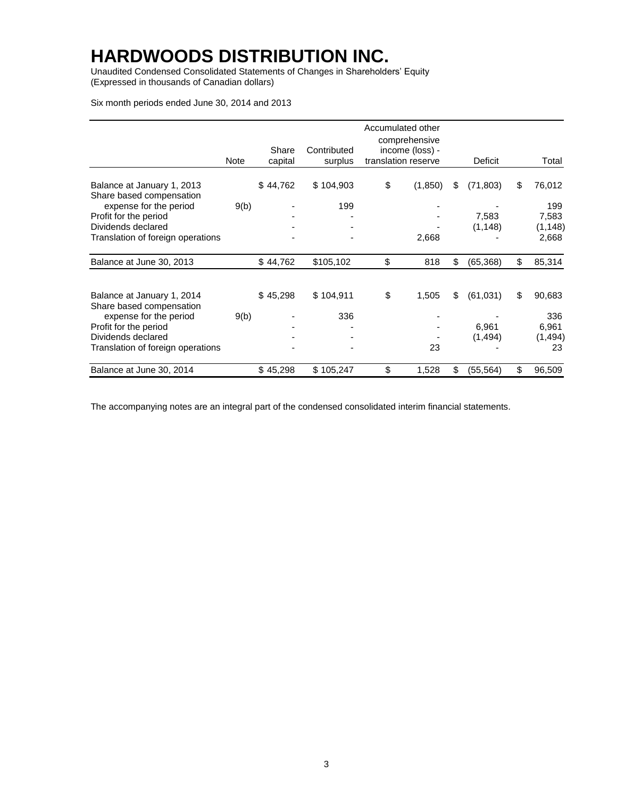Unaudited Condensed Consolidated Statements of Changes in Shareholders' Equity (Expressed in thousands of Canadian dollars)

Six month periods ended June 30, 2014 and 2013

|                                                        | Note | Share<br>capital | Contributed<br>surplus | Accumulated other<br>comprehensive<br>income (loss) -<br>translation reserve | Deficit         | Total        |
|--------------------------------------------------------|------|------------------|------------------------|------------------------------------------------------------------------------|-----------------|--------------|
|                                                        |      |                  |                        |                                                                              |                 |              |
| Balance at January 1, 2013<br>Share based compensation |      | \$44,762         | \$104,903              | \$<br>(1,850)                                                                | \$<br>(71, 803) | \$<br>76,012 |
| expense for the period                                 | 9(b) |                  | 199                    |                                                                              |                 | 199          |
| Profit for the period                                  |      |                  |                        |                                                                              | 7,583           | 7,583        |
| Dividends declared                                     |      |                  |                        |                                                                              | (1, 148)        | (1, 148)     |
| Translation of foreign operations                      |      |                  |                        | 2,668                                                                        |                 | 2,668        |
| Balance at June 30, 2013                               |      | \$44,762         | \$105,102              | \$<br>818                                                                    | \$<br>(65, 368) | \$<br>85,314 |
| Balance at January 1, 2014                             |      | \$45,298         | \$104,911              | \$<br>1,505                                                                  | \$<br>(61, 031) | \$<br>90,683 |
| Share based compensation<br>expense for the period     | 9(b) |                  | 336                    |                                                                              |                 | 336          |
| Profit for the period                                  |      |                  |                        |                                                                              | 6,961           | 6,961        |
| Dividends declared                                     |      |                  |                        |                                                                              | (1,494)         | (1, 494)     |
| Translation of foreign operations                      |      |                  |                        | 23                                                                           |                 | 23           |
| Balance at June 30, 2014                               |      | \$45,298         | \$105,247              | \$<br>1,528                                                                  | \$<br>(55, 564) | \$<br>96,509 |

The accompanying notes are an integral part of the condensed consolidated interim financial statements.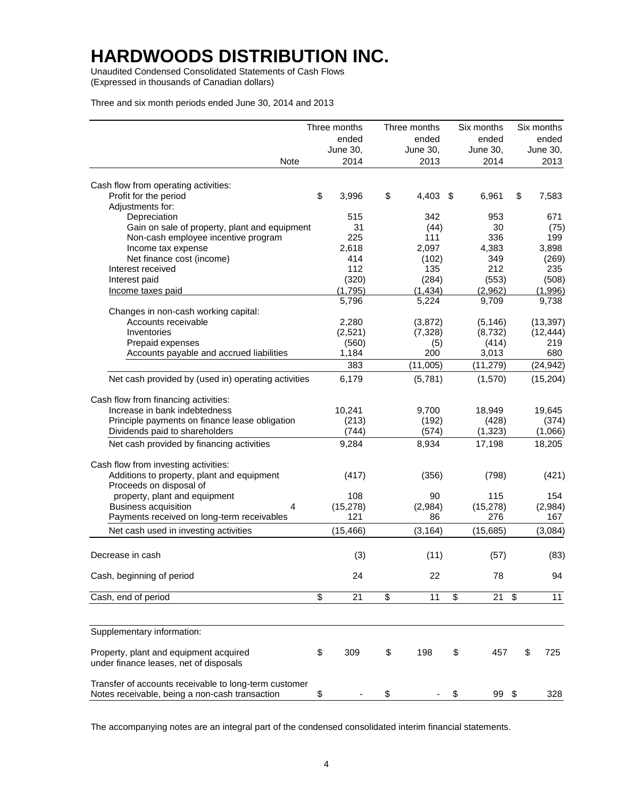Unaudited Condensed Consolidated Statements of Cash Flows (Expressed in thousands of Canadian dollars)

Three and six month periods ended June 30, 2014 and 2013

|                                                                                                         | Three months | Three months |     | Six months |    | Six months |
|---------------------------------------------------------------------------------------------------------|--------------|--------------|-----|------------|----|------------|
|                                                                                                         | ended        | ended        |     | ended      |    | ended      |
|                                                                                                         | June 30,     | June 30,     |     | June 30,   |    | June 30,   |
| Note                                                                                                    | 2014         | 2013         |     | 2014       |    | 2013       |
| Cash flow from operating activities:                                                                    |              |              |     |            |    |            |
| Profit for the period                                                                                   | \$<br>3,996  | \$<br>4,403  | -\$ | 6,961      | \$ | 7,583      |
| Adjustments for:                                                                                        |              |              |     |            |    |            |
| Depreciation                                                                                            | 515          | 342          |     | 953        |    | 671        |
| Gain on sale of property, plant and equipment                                                           | 31           | (44)         |     | 30         |    | (75)       |
| Non-cash employee incentive program                                                                     | 225          | 111          |     | 336        |    | 199        |
| Income tax expense                                                                                      | 2,618        | 2,097        |     | 4,383      |    | 3,898      |
| Net finance cost (income)                                                                               | 414          | (102)        |     | 349        |    | (269)      |
| Interest received                                                                                       | 112          | 135          |     | 212        |    | 235        |
| Interest paid                                                                                           | (320)        | (284)        |     | (553)      |    | (508)      |
| Income taxes paid                                                                                       | (1,795)      | (1, 434)     |     | (2,962)    |    | (1,996)    |
|                                                                                                         | 5,796        | 5,224        |     | 9,709      |    | 9,738      |
| Changes in non-cash working capital:                                                                    |              |              |     |            |    |            |
| Accounts receivable                                                                                     | 2,280        | (3, 872)     |     | (5, 146)   |    | (13, 397)  |
| Inventories                                                                                             | (2,521)      | (7, 328)     |     | (8, 732)   |    | (12, 444)  |
| Prepaid expenses                                                                                        | (560)        | (5)          |     | (414)      |    | 219        |
| Accounts payable and accrued liabilities                                                                | 1,184        | 200          |     | 3,013      |    | 680        |
|                                                                                                         | 383          | (11,005)     |     | (11, 279)  |    | (24, 942)  |
|                                                                                                         |              |              |     |            |    |            |
| Net cash provided by (used in) operating activities                                                     | 6,179        | (5,781)      |     | (1,570)    |    | (15, 204)  |
|                                                                                                         |              |              |     |            |    |            |
| Cash flow from financing activities:                                                                    |              |              |     |            |    |            |
| Increase in bank indebtedness                                                                           | 10,241       | 9,700        |     | 18,949     |    | 19,645     |
| Principle payments on finance lease obligation                                                          | (213)        | (192)        |     | (428)      |    | (374)      |
| Dividends paid to shareholders                                                                          | (744)        | (574)        |     | (1, 323)   |    | (1,066)    |
| Net cash provided by financing activities                                                               | 9,284        | 8,934        |     | 17,198     |    | 18,205     |
| Cash flow from investing activities:                                                                    |              |              |     |            |    |            |
| Additions to property, plant and equipment                                                              | (417)        | (356)        |     | (798)      |    | (421)      |
| Proceeds on disposal of                                                                                 |              |              |     |            |    |            |
| property, plant and equipment                                                                           | 108          | 90           |     | 115        |    | 154        |
| <b>Business acquisition</b><br>4                                                                        | (15, 278)    | (2,984)      |     | (15, 278)  |    | (2,984)    |
| Payments received on long-term receivables                                                              | 121          | 86           |     | 276        |    | 167        |
|                                                                                                         |              |              |     |            |    |            |
| Net cash used in investing activities                                                                   | (15, 466)    | (3, 164)     |     | (15,685)   |    | (3,084)    |
| Decrease in cash                                                                                        | (3)          | (11)         |     | (57)       |    | (83)       |
| Cash, beginning of period                                                                               | 24           | 22           |     | 78         |    | 94         |
|                                                                                                         |              |              |     |            |    |            |
| Cash, end of period                                                                                     | \$<br>21     | \$<br>11     | \$  | 21         | \$ | 11         |
|                                                                                                         |              |              |     |            |    |            |
| Supplementary information:                                                                              |              |              |     |            |    |            |
| Property, plant and equipment acquired<br>under finance leases, net of disposals                        | \$<br>309    | \$<br>198    | \$  | 457        | \$ | 725        |
| Transfer of accounts receivable to long-term customer<br>Notes receivable, being a non-cash transaction | \$           | \$           | \$  | 99 \$      |    | 328        |

The accompanying notes are an integral part of the condensed consolidated interim financial statements.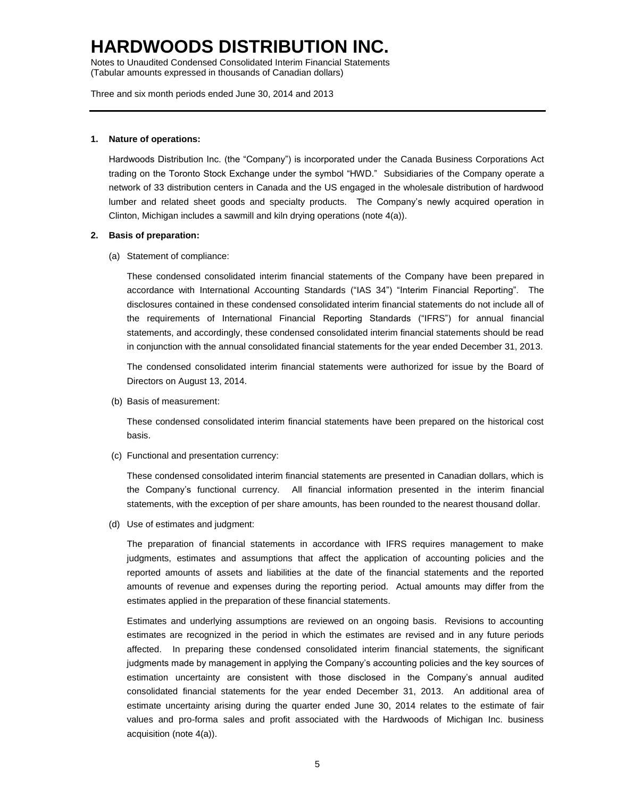Notes to Unaudited Condensed Consolidated Interim Financial Statements (Tabular amounts expressed in thousands of Canadian dollars)

Three and six month periods ended June 30, 2014 and 2013

#### **1. Nature of operations:**

Hardwoods Distribution Inc. (the "Company") is incorporated under the Canada Business Corporations Act trading on the Toronto Stock Exchange under the symbol "HWD." Subsidiaries of the Company operate a network of 33 distribution centers in Canada and the US engaged in the wholesale distribution of hardwood lumber and related sheet goods and specialty products. The Company's newly acquired operation in Clinton, Michigan includes a sawmill and kiln drying operations (note 4(a)).

#### **2. Basis of preparation:**

(a) Statement of compliance:

These condensed consolidated interim financial statements of the Company have been prepared in accordance with International Accounting Standards ("IAS 34") "Interim Financial Reporting". The disclosures contained in these condensed consolidated interim financial statements do not include all of the requirements of International Financial Reporting Standards ("IFRS") for annual financial statements, and accordingly, these condensed consolidated interim financial statements should be read in conjunction with the annual consolidated financial statements for the year ended December 31, 2013.

The condensed consolidated interim financial statements were authorized for issue by the Board of Directors on August 13, 2014.

(b) Basis of measurement:

These condensed consolidated interim financial statements have been prepared on the historical cost basis.

(c) Functional and presentation currency:

These condensed consolidated interim financial statements are presented in Canadian dollars, which is the Company's functional currency. All financial information presented in the interim financial statements, with the exception of per share amounts, has been rounded to the nearest thousand dollar.

(d) Use of estimates and judgment:

The preparation of financial statements in accordance with IFRS requires management to make judgments, estimates and assumptions that affect the application of accounting policies and the reported amounts of assets and liabilities at the date of the financial statements and the reported amounts of revenue and expenses during the reporting period. Actual amounts may differ from the estimates applied in the preparation of these financial statements.

Estimates and underlying assumptions are reviewed on an ongoing basis. Revisions to accounting estimates are recognized in the period in which the estimates are revised and in any future periods affected. In preparing these condensed consolidated interim financial statements, the significant judgments made by management in applying the Company's accounting policies and the key sources of estimation uncertainty are consistent with those disclosed in the Company's annual audited consolidated financial statements for the year ended December 31, 2013. An additional area of estimate uncertainty arising during the quarter ended June 30, 2014 relates to the estimate of fair values and pro-forma sales and profit associated with the Hardwoods of Michigan Inc. business acquisition (note 4(a)).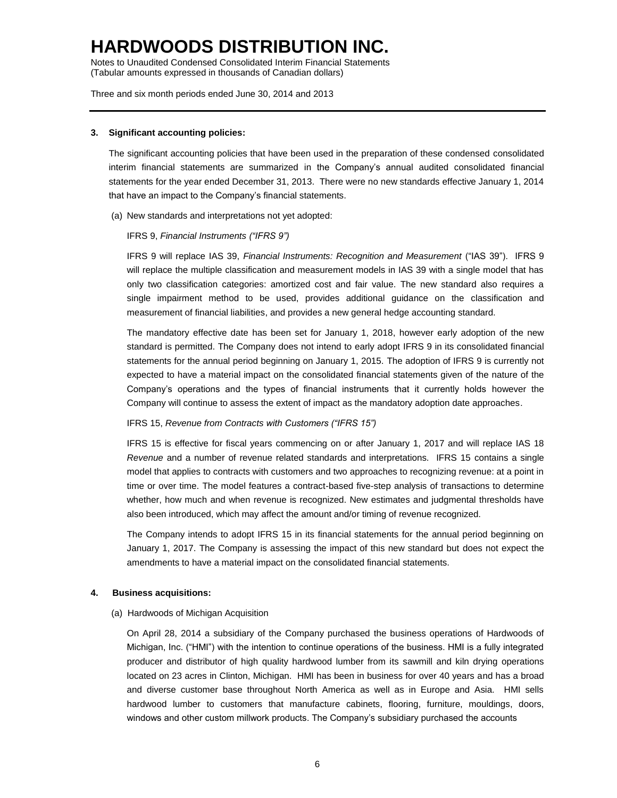Notes to Unaudited Condensed Consolidated Interim Financial Statements (Tabular amounts expressed in thousands of Canadian dollars)

Three and six month periods ended June 30, 2014 and 2013

#### **3. Significant accounting policies:**

The significant accounting policies that have been used in the preparation of these condensed consolidated interim financial statements are summarized in the Company's annual audited consolidated financial statements for the year ended December 31, 2013. There were no new standards effective January 1, 2014 that have an impact to the Company's financial statements.

(a) New standards and interpretations not yet adopted:

#### IFRS 9, *Financial Instruments ("IFRS 9")*

IFRS 9 will replace IAS 39, *Financial Instruments: Recognition and Measurement* ("IAS 39"). IFRS 9 will replace the multiple classification and measurement models in IAS 39 with a single model that has only two classification categories: amortized cost and fair value. The new standard also requires a single impairment method to be used, provides additional guidance on the classification and measurement of financial liabilities, and provides a new general hedge accounting standard.

The mandatory effective date has been set for January 1, 2018, however early adoption of the new standard is permitted. The Company does not intend to early adopt IFRS 9 in its consolidated financial statements for the annual period beginning on January 1, 2015. The adoption of IFRS 9 is currently not expected to have a material impact on the consolidated financial statements given of the nature of the Company's operations and the types of financial instruments that it currently holds however the Company will continue to assess the extent of impact as the mandatory adoption date approaches.

#### IFRS 15, *Revenue from Contracts with Customers ("IFRS 15")*

IFRS 15 is effective for fiscal years commencing on or after January 1, 2017 and will replace IAS 18 *Revenue* and a number of revenue related standards and interpretations. IFRS 15 contains a single model that applies to contracts with customers and two approaches to recognizing revenue: at a point in time or over time. The model features a contract-based five-step analysis of transactions to determine whether, how much and when revenue is recognized. New estimates and judgmental thresholds have also been introduced, which may affect the amount and/or timing of revenue recognized.

The Company intends to adopt IFRS 15 in its financial statements for the annual period beginning on January 1, 2017. The Company is assessing the impact of this new standard but does not expect the amendments to have a material impact on the consolidated financial statements.

#### **4. Business acquisitions:**

(a) Hardwoods of Michigan Acquisition

On April 28, 2014 a subsidiary of the Company purchased the business operations of Hardwoods of Michigan, Inc. ("HMI") with the intention to continue operations of the business. HMI is a fully integrated producer and distributor of high quality hardwood lumber from its sawmill and kiln drying operations located on 23 acres in Clinton, Michigan. HMI has been in business for over 40 years and has a broad and diverse customer base throughout North America as well as in Europe and Asia. HMI sells hardwood lumber to customers that manufacture cabinets, flooring, furniture, mouldings, doors, windows and other custom millwork products. The Company's subsidiary purchased the accounts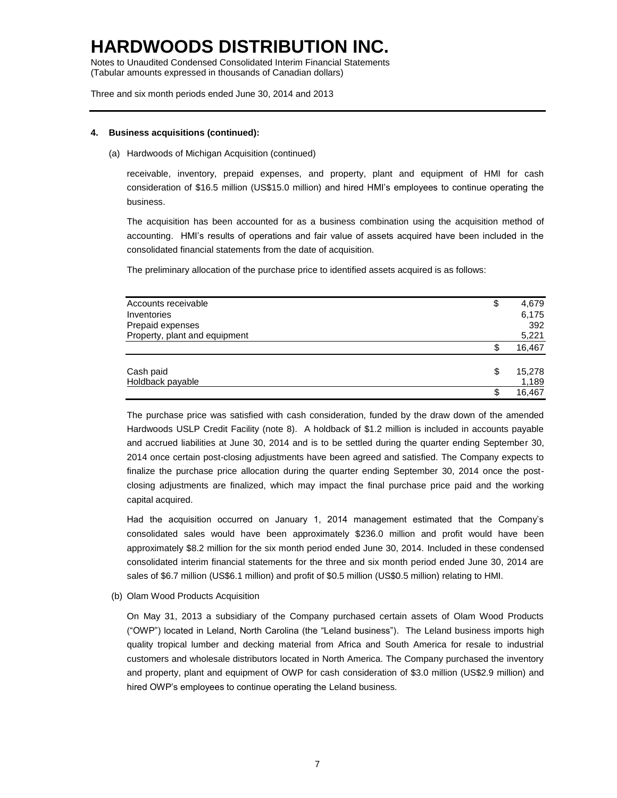Notes to Unaudited Condensed Consolidated Interim Financial Statements (Tabular amounts expressed in thousands of Canadian dollars)

Three and six month periods ended June 30, 2014 and 2013

#### **4. Business acquisitions (continued):**

(a) Hardwoods of Michigan Acquisition (continued)

receivable, inventory, prepaid expenses, and property, plant and equipment of HMI for cash consideration of \$16.5 million (US\$15.0 million) and hired HMI's employees to continue operating the business.

The acquisition has been accounted for as a business combination using the acquisition method of accounting. HMI's results of operations and fair value of assets acquired have been included in the consolidated financial statements from the date of acquisition.

The preliminary allocation of the purchase price to identified assets acquired is as follows:

| Accounts receivable           | \$<br>4,679  |
|-------------------------------|--------------|
| Inventories                   | 6,175        |
| Prepaid expenses              | 392          |
| Property, plant and equipment | 5,221        |
|                               | \$<br>16,467 |
| Cash paid                     | \$<br>15,278 |
| Holdback payable              | 1,189        |
|                               | \$<br>16.467 |

The purchase price was satisfied with cash consideration, funded by the draw down of the amended Hardwoods USLP Credit Facility (note 8). A holdback of \$1.2 million is included in accounts payable and accrued liabilities at June 30, 2014 and is to be settled during the quarter ending September 30, 2014 once certain post-closing adjustments have been agreed and satisfied. The Company expects to finalize the purchase price allocation during the quarter ending September 30, 2014 once the postclosing adjustments are finalized, which may impact the final purchase price paid and the working capital acquired.

Had the acquisition occurred on January 1, 2014 management estimated that the Company's consolidated sales would have been approximately \$236.0 million and profit would have been approximately \$8.2 million for the six month period ended June 30, 2014. Included in these condensed consolidated interim financial statements for the three and six month period ended June 30, 2014 are sales of \$6.7 million (US\$6.1 million) and profit of \$0.5 million (US\$0.5 million) relating to HMI.

(b) Olam Wood Products Acquisition

On May 31, 2013 a subsidiary of the Company purchased certain assets of Olam Wood Products ("OWP") located in Leland, North Carolina (the "Leland business"). The Leland business imports high quality tropical lumber and decking material from Africa and South America for resale to industrial customers and wholesale distributors located in North America. The Company purchased the inventory and property, plant and equipment of OWP for cash consideration of \$3.0 million (US\$2.9 million) and hired OWP's employees to continue operating the Leland business.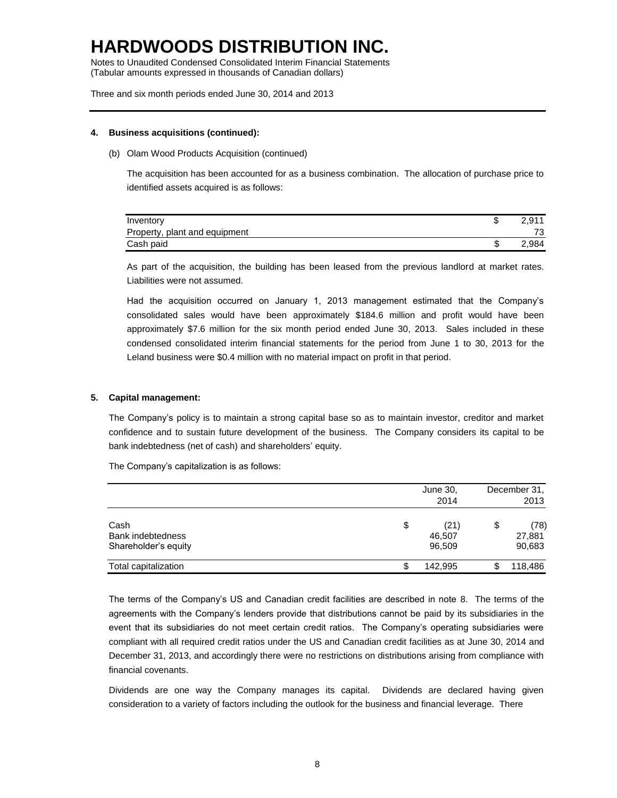Notes to Unaudited Condensed Consolidated Interim Financial Statements (Tabular amounts expressed in thousands of Canadian dollars)

Three and six month periods ended June 30, 2014 and 2013

#### **4. Business acquisitions (continued):**

(b) Olam Wood Products Acquisition (continued)

The acquisition has been accounted for as a business combination. The allocation of purchase price to identified assets acquired is as follows:

| Inventory                     | 2.911 |
|-------------------------------|-------|
| Property, plant and equipment | 73    |
| Cash paid                     | 2.984 |

As part of the acquisition, the building has been leased from the previous landlord at market rates. Liabilities were not assumed.

Had the acquisition occurred on January 1, 2013 management estimated that the Company's consolidated sales would have been approximately \$184.6 million and profit would have been approximately \$7.6 million for the six month period ended June 30, 2013. Sales included in these condensed consolidated interim financial statements for the period from June 1 to 30, 2013 for the Leland business were \$0.4 million with no material impact on profit in that period.

#### **5. Capital management:**

The Company's policy is to maintain a strong capital base so as to maintain investor, creditor and market confidence and to sustain future development of the business. The Company considers its capital to be bank indebtedness (net of cash) and shareholders' equity.

The Company's capitalization is as follows:

|                                                   | June 30,<br>2014               | December 31,<br>2013           |
|---------------------------------------------------|--------------------------------|--------------------------------|
| Cash<br>Bank indebtedness<br>Shareholder's equity | \$<br>(21)<br>46,507<br>96,509 | \$<br>(78)<br>27,881<br>90,683 |
| Total capitalization                              | \$<br>142.995                  | 118,486                        |

The terms of the Company's US and Canadian credit facilities are described in note 8. The terms of the agreements with the Company's lenders provide that distributions cannot be paid by its subsidiaries in the event that its subsidiaries do not meet certain credit ratios. The Company's operating subsidiaries were compliant with all required credit ratios under the US and Canadian credit facilities as at June 30, 2014 and December 31, 2013, and accordingly there were no restrictions on distributions arising from compliance with financial covenants.

Dividends are one way the Company manages its capital. Dividends are declared having given consideration to a variety of factors including the outlook for the business and financial leverage. There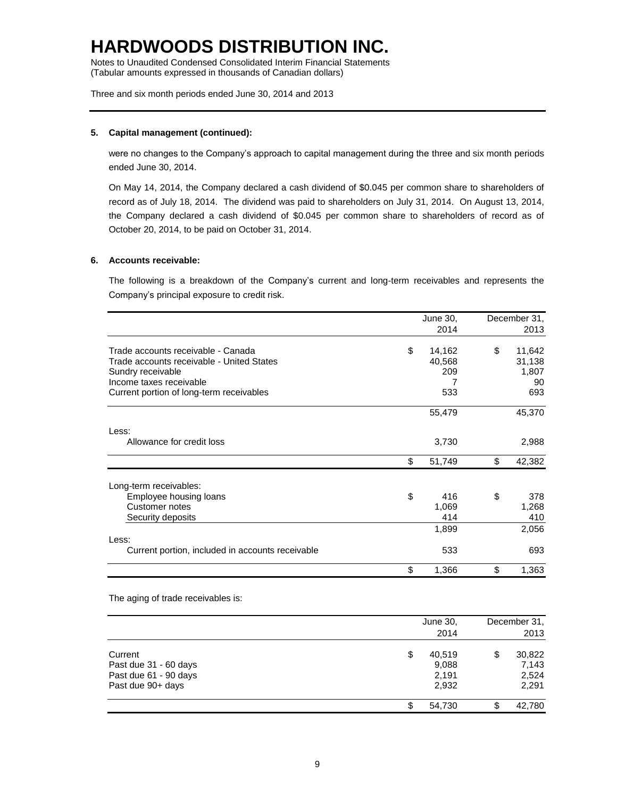Notes to Unaudited Condensed Consolidated Interim Financial Statements (Tabular amounts expressed in thousands of Canadian dollars)

Three and six month periods ended June 30, 2014 and 2013

#### **5. Capital management (continued):**

were no changes to the Company's approach to capital management during the three and six month periods ended June 30, 2014.

On May 14, 2014, the Company declared a cash dividend of \$0.045 per common share to shareholders of record as of July 18, 2014. The dividend was paid to shareholders on July 31, 2014. On August 13, 2014, the Company declared a cash dividend of \$0.045 per common share to shareholders of record as of October 20, 2014, to be paid on October 31, 2014.

#### **6. Accounts receivable:**

The following is a breakdown of the Company's current and long-term receivables and represents the Company's principal exposure to credit risk.

|                                                  | June 30,     | December 31, |  |
|--------------------------------------------------|--------------|--------------|--|
|                                                  | 2014         | 2013         |  |
| Trade accounts receivable - Canada               | \$<br>14,162 | \$<br>11,642 |  |
| Trade accounts receivable - United States        | 40,568       | 31,138       |  |
| Sundry receivable                                | 209          | 1,807        |  |
| Income taxes receivable                          | 7            | 90           |  |
| Current portion of long-term receivables         | 533          | 693          |  |
|                                                  | 55,479       | 45,370       |  |
| Less:                                            |              |              |  |
| Allowance for credit loss                        | 3,730        | 2,988        |  |
|                                                  | \$<br>51,749 | \$<br>42,382 |  |
| Long-term receivables:                           |              |              |  |
| Employee housing loans                           | \$<br>416    | \$<br>378    |  |
| Customer notes                                   | 1,069        | 1,268        |  |
| Security deposits                                | 414          | 410          |  |
|                                                  | 1,899        | 2,056        |  |
| Less:                                            |              |              |  |
| Current portion, included in accounts receivable | 533          | 693          |  |
|                                                  | \$<br>1,366  | \$<br>1,363  |  |

The aging of trade receivables is:

|                                                                                | June 30,<br>2014                        | December 31,<br>2013                    |
|--------------------------------------------------------------------------------|-----------------------------------------|-----------------------------------------|
| Current<br>Past due 31 - 60 days<br>Past due 61 - 90 days<br>Past due 90+ days | \$<br>40,519<br>9,088<br>2,191<br>2,932 | \$<br>30,822<br>7,143<br>2,524<br>2,291 |
|                                                                                | 54,730                                  | \$<br>42,780                            |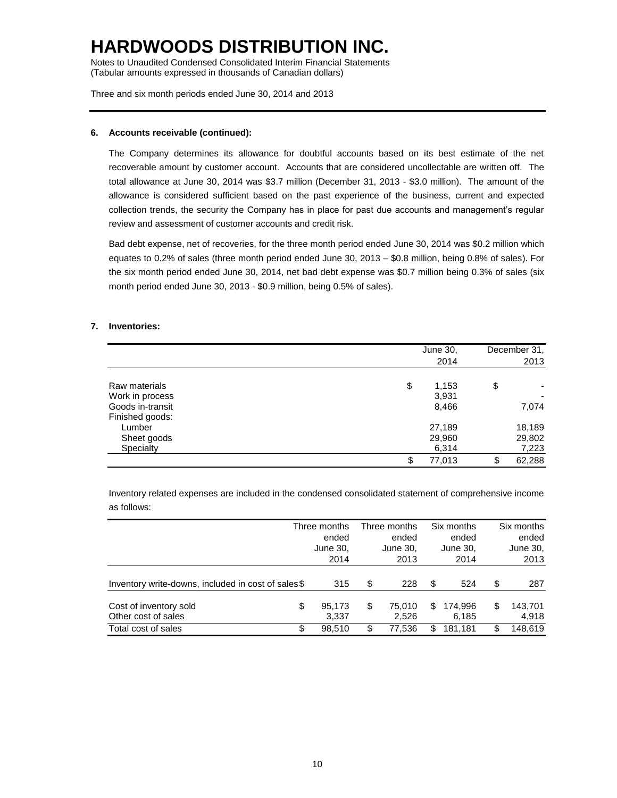Notes to Unaudited Condensed Consolidated Interim Financial Statements (Tabular amounts expressed in thousands of Canadian dollars)

Three and six month periods ended June 30, 2014 and 2013

### **6. Accounts receivable (continued):**

The Company determines its allowance for doubtful accounts based on its best estimate of the net recoverable amount by customer account. Accounts that are considered uncollectable are written off. The total allowance at June 30, 2014 was \$3.7 million (December 31, 2013 - \$3.0 million). The amount of the allowance is considered sufficient based on the past experience of the business, current and expected collection trends, the security the Company has in place for past due accounts and management's regular review and assessment of customer accounts and credit risk.

Bad debt expense, net of recoveries, for the three month period ended June 30, 2014 was \$0.2 million which equates to 0.2% of sales (three month period ended June 30, 2013 – \$0.8 million, being 0.8% of sales). For the six month period ended June 30, 2014, net bad debt expense was \$0.7 million being 0.3% of sales (six month period ended June 30, 2013 - \$0.9 million, being 0.5% of sales).

### **7. Inventories:**

|                  | June 30,<br>2014 | December 31.<br>2013 |
|------------------|------------------|----------------------|
| Raw materials    | \$<br>1,153      | \$                   |
| Work in process  | 3,931            |                      |
| Goods in-transit | 8,466            | 7,074                |
| Finished goods:  |                  |                      |
| Lumber           | 27,189           | 18,189               |
| Sheet goods      | 29,960           | 29,802               |
| Specialty        | 6,314            | 7,223                |
|                  | \$<br>77,013     | \$<br>62,288         |

Inventory related expenses are included in the condensed consolidated statement of comprehensive income as follows:

|                                                     | Three months<br>ended<br>June 30,<br>2014 |     | Three months<br>ended<br>June 30,<br>2013 |     | Six months<br>ended<br>June 30,<br>2014 | Six months<br>ended<br>June 30,<br>2013 |
|-----------------------------------------------------|-------------------------------------------|-----|-------------------------------------------|-----|-----------------------------------------|-----------------------------------------|
| Inventory write-downs, included in cost of sales\$  | 315                                       | \$  | 228                                       | S   | 524                                     | \$<br>287                               |
| Cost of inventory sold<br>\$<br>Other cost of sales | 95,173<br>3.337                           | \$  | 75.010<br>2.526                           | \$. | 174.996<br>6,185                        | \$<br>143,701<br>4,918                  |
| Total cost of sales<br>S                            | 98.510                                    | \$. | 77.536                                    | S.  | 181.181                                 | \$<br>148.619                           |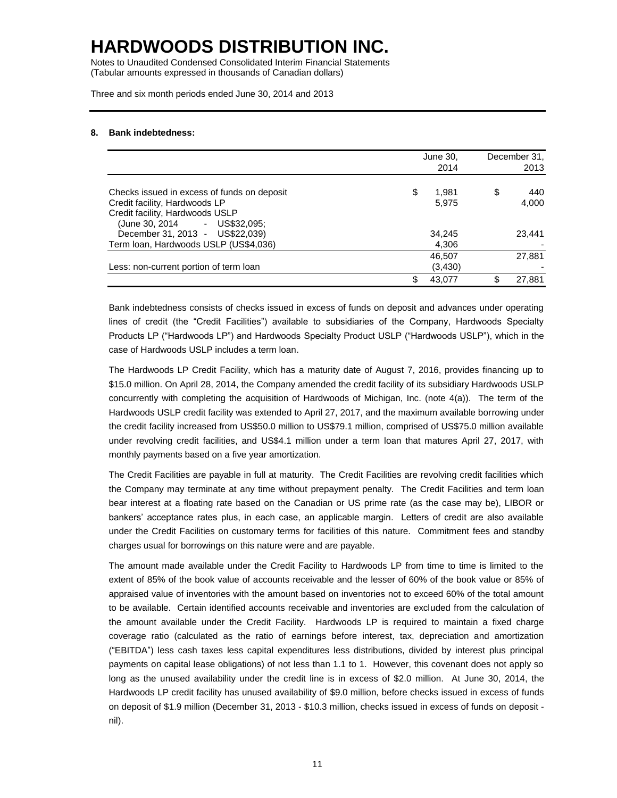Notes to Unaudited Condensed Consolidated Interim Financial Statements (Tabular amounts expressed in thousands of Canadian dollars)

Three and six month periods ended June 30, 2014 and 2013

#### **8. Bank indebtedness:**

|                                             | June 30, |          |    | December 31. |
|---------------------------------------------|----------|----------|----|--------------|
|                                             |          | 2014     |    | 2013         |
| Checks issued in excess of funds on deposit | \$       | 1,981    | \$ | 440          |
| Credit facility, Hardwoods LP               |          | 5,975    |    | 4,000        |
| Credit facility, Hardwoods USLP             |          |          |    |              |
| (June 30, 2014 - US\$32,095;                |          |          |    |              |
| December 31, 2013 - US\$22,039)             |          | 34,245   |    | 23,441       |
| Term Ioan, Hardwoods USLP (US\$4,036)       |          | 4,306    |    |              |
|                                             |          | 46,507   |    | 27,881       |
| Less: non-current portion of term loan      |          | (3, 430) |    |              |
|                                             | \$       | 43.077   | ß. | 27,881       |

Bank indebtedness consists of checks issued in excess of funds on deposit and advances under operating lines of credit (the "Credit Facilities") available to subsidiaries of the Company, Hardwoods Specialty Products LP ("Hardwoods LP") and Hardwoods Specialty Product USLP ("Hardwoods USLP"), which in the case of Hardwoods USLP includes a term loan.

The Hardwoods LP Credit Facility, which has a maturity date of August 7, 2016, provides financing up to \$15.0 million. On April 28, 2014, the Company amended the credit facility of its subsidiary Hardwoods USLP concurrently with completing the acquisition of Hardwoods of Michigan, Inc. (note 4(a)). The term of the Hardwoods USLP credit facility was extended to April 27, 2017, and the maximum available borrowing under the credit facility increased from US\$50.0 million to US\$79.1 million, comprised of US\$75.0 million available under revolving credit facilities, and US\$4.1 million under a term loan that matures April 27, 2017, with monthly payments based on a five year amortization.

The Credit Facilities are payable in full at maturity. The Credit Facilities are revolving credit facilities which the Company may terminate at any time without prepayment penalty. The Credit Facilities and term loan bear interest at a floating rate based on the Canadian or US prime rate (as the case may be), LIBOR or bankers' acceptance rates plus, in each case, an applicable margin. Letters of credit are also available under the Credit Facilities on customary terms for facilities of this nature. Commitment fees and standby charges usual for borrowings on this nature were and are payable.

The amount made available under the Credit Facility to Hardwoods LP from time to time is limited to the extent of 85% of the book value of accounts receivable and the lesser of 60% of the book value or 85% of appraised value of inventories with the amount based on inventories not to exceed 60% of the total amount to be available. Certain identified accounts receivable and inventories are excluded from the calculation of the amount available under the Credit Facility. Hardwoods LP is required to maintain a fixed charge coverage ratio (calculated as the ratio of earnings before interest, tax, depreciation and amortization ("EBITDA") less cash taxes less capital expenditures less distributions, divided by interest plus principal payments on capital lease obligations) of not less than 1.1 to 1. However, this covenant does not apply so long as the unused availability under the credit line is in excess of \$2.0 million. At June 30, 2014, the Hardwoods LP credit facility has unused availability of \$9.0 million, before checks issued in excess of funds on deposit of \$1.9 million (December 31, 2013 - \$10.3 million, checks issued in excess of funds on deposit nil).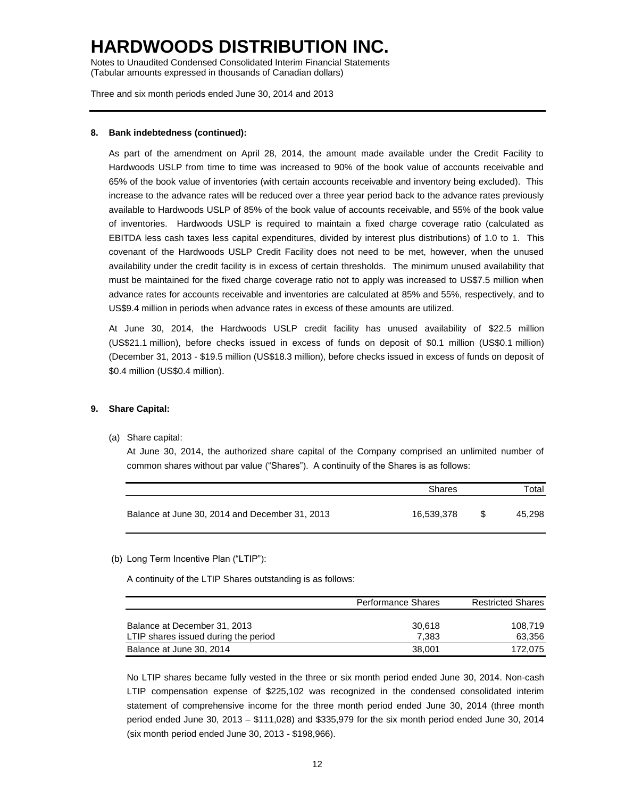Notes to Unaudited Condensed Consolidated Interim Financial Statements (Tabular amounts expressed in thousands of Canadian dollars)

Three and six month periods ended June 30, 2014 and 2013

#### **8. Bank indebtedness (continued):**

As part of the amendment on April 28, 2014, the amount made available under the Credit Facility to Hardwoods USLP from time to time was increased to 90% of the book value of accounts receivable and 65% of the book value of inventories (with certain accounts receivable and inventory being excluded). This increase to the advance rates will be reduced over a three year period back to the advance rates previously available to Hardwoods USLP of 85% of the book value of accounts receivable, and 55% of the book value of inventories. Hardwoods USLP is required to maintain a fixed charge coverage ratio (calculated as EBITDA less cash taxes less capital expenditures, divided by interest plus distributions) of 1.0 to 1. This covenant of the Hardwoods USLP Credit Facility does not need to be met, however, when the unused availability under the credit facility is in excess of certain thresholds. The minimum unused availability that must be maintained for the fixed charge coverage ratio not to apply was increased to US\$7.5 million when advance rates for accounts receivable and inventories are calculated at 85% and 55%, respectively, and to US\$9.4 million in periods when advance rates in excess of these amounts are utilized.

At June 30, 2014, the Hardwoods USLP credit facility has unused availability of \$22.5 million (US\$21.1 million), before checks issued in excess of funds on deposit of \$0.1 million (US\$0.1 million) (December 31, 2013 - \$19.5 million (US\$18.3 million), before checks issued in excess of funds on deposit of \$0.4 million (US\$0.4 million).

#### **9. Share Capital:**

(a) Share capital:

At June 30, 2014, the authorized share capital of the Company comprised an unlimited number of common shares without par value ("Shares"). A continuity of the Shares is as follows:

|                                                | Shares     | Total  |  |  |
|------------------------------------------------|------------|--------|--|--|
| Balance at June 30, 2014 and December 31, 2013 | 16.539.378 | 45.298 |  |  |

#### (b) Long Term Incentive Plan ("LTIP"):

A continuity of the LTIP Shares outstanding is as follows:

|                                                                      | <b>Performance Shares</b> | <b>Restricted Shares</b> |  |  |
|----------------------------------------------------------------------|---------------------------|--------------------------|--|--|
| Balance at December 31, 2013<br>LTIP shares issued during the period | 30.618<br>7.383           | 108.719<br>63.356        |  |  |
| Balance at June 30, 2014                                             | 38,001                    | 172.075                  |  |  |

No LTIP shares became fully vested in the three or six month period ended June 30, 2014. Non-cash LTIP compensation expense of \$225,102 was recognized in the condensed consolidated interim statement of comprehensive income for the three month period ended June 30, 2014 (three month period ended June 30, 2013 – \$111,028) and \$335,979 for the six month period ended June 30, 2014 (six month period ended June 30, 2013 - \$198,966).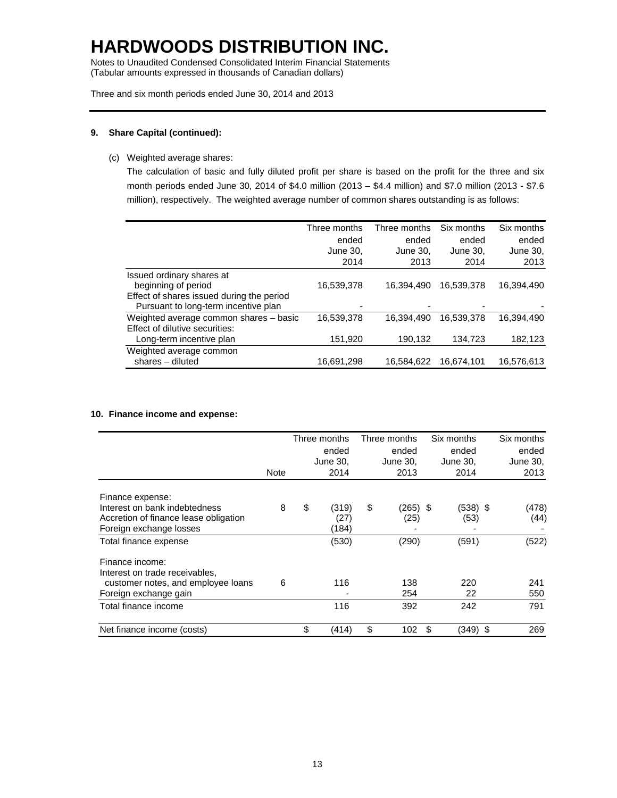Notes to Unaudited Condensed Consolidated Interim Financial Statements (Tabular amounts expressed in thousands of Canadian dollars)

Three and six month periods ended June 30, 2014 and 2013

#### **9. Share Capital (continued):**

(c) Weighted average shares:

The calculation of basic and fully diluted profit per share is based on the profit for the three and six month periods ended June 30, 2014 of \$4.0 million (2013 – \$4.4 million) and \$7.0 million (2013 - \$7.6 million), respectively. The weighted average number of common shares outstanding is as follows:

|                                           | Three months | Three months | Six months | Six months |
|-------------------------------------------|--------------|--------------|------------|------------|
|                                           | ended        | ended        | ended      | ended      |
|                                           | June 30,     | June 30.     | June 30.   | June 30,   |
|                                           | 2014         | 2013         | 2014       | 2013       |
| Issued ordinary shares at                 |              |              |            |            |
| beginning of period                       | 16,539,378   | 16,394,490   | 16,539,378 | 16,394,490 |
| Effect of shares issued during the period |              |              |            |            |
| Pursuant to long-term incentive plan      |              |              | -          |            |
| Weighted average common shares - basic    | 16.539.378   | 16.394.490   | 16.539.378 | 16,394,490 |
| Effect of dilutive securities:            |              |              |            |            |
| Long-term incentive plan                  | 151,920      | 190,132      | 134,723    | 182,123    |
| Weighted average common                   |              |              |            |            |
| shares - diluted                          | 16,691,298   | 16,584,622   | 16.674.101 | 16,576,613 |

#### **10. Finance income and expense:**

|                                       |             | Three months | Three months   | Six months     | Six months |
|---------------------------------------|-------------|--------------|----------------|----------------|------------|
|                                       |             | ended        | ended          | ended          | ended      |
|                                       |             | June 30.     | June 30,       | June 30,       | June 30,   |
|                                       | <b>Note</b> | 2014         | 2013           | 2014           | 2013       |
| Finance expense:                      |             |              |                |                |            |
| Interest on bank indebtedness         | 8           | \$<br>(319)  | \$<br>(265) \$ | (538) \$       | (478)      |
| Accretion of finance lease obligation |             | (27)         | (25)           | (53)           | (44)       |
| Foreign exchange losses               |             | (184)        |                |                |            |
| Total finance expense                 |             | (530)        | (290)          | (591)          | (522)      |
| Finance income:                       |             |              |                |                |            |
| Interest on trade receivables,        |             |              |                |                |            |
| customer notes, and employee loans    | 6           | 116          | 138            | 220            | 241        |
| Foreign exchange gain                 |             |              | 254            | 22             | 550        |
| Total finance income                  |             | 116          | 392            | 242            | 791        |
| Net finance income (costs)            |             | \$<br>(414)  | \$<br>102      | \$<br>(349) \$ | 269        |